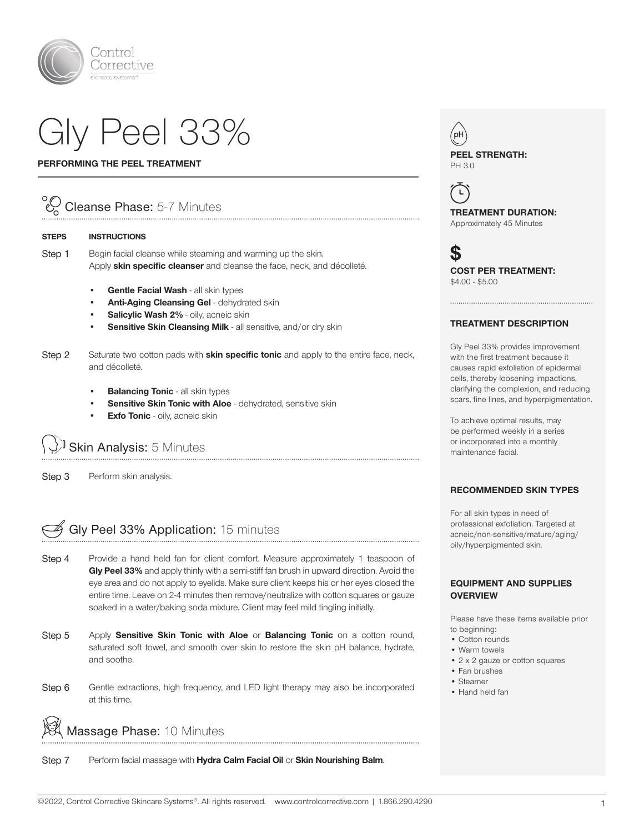

# Gly Peel 33%

#### PERFORMING THE PEEL TREATMENT

### Cleanse Phase: 5-7 Minutes

#### STEPS INSTRUCTIONS

Step 1 Begin facial cleanse while steaming and warming up the skin. Apply skin specific cleanser and cleanse the face, neck, and décolleté.

- Gentle Facial Wash all skin types
- Anti-Aging Cleansing Gel dehydrated skin
- Salicylic Wash 2% oily, acneic skin
- Sensitive Skin Cleansing Milk all sensitive, and/or dry skin
- Step 2 Saturate two cotton pads with **skin specific tonic** and apply to the entire face, neck, and décolleté.
	- **Balancing Tonic all skin types**
	- Sensitive Skin Tonic with Aloe dehydrated, sensitive skin
	- **Exfo Tonic** oily, acneic skin

## Skin Analysis: 5 Minutes

Step 3 Perform skin analysis.

## G Gly Peel 33% Application: 15 minutes

- Step 4 Provide a hand held fan for client comfort. Measure approximately 1 teaspoon of Gly Peel 33% and apply thinly with a semi-stiff fan brush in upward direction. Avoid the eye area and do not apply to eyelids. Make sure client keeps his or her eyes closed the entire time. Leave on 2-4 minutes then remove/neutralize with cotton squares or gauze soaked in a water/baking soda mixture. Client may feel mild tingling initially.
- Step 5 Apply Sensitive Skin Tonic with Aloe or Balancing Tonic on a cotton round, saturated soft towel, and smooth over skin to restore the skin pH balance, hydrate, and soothe.
- Step 6 Gentle extractions, high frequency, and LED light therapy may also be incorporated at this time.

Massage Phase: 10 Minutes

Step 7 Perform facial massage with Hydra Calm Facial Oil or Skin Nourishing Balm.



 $\left( \begin{array}{c} \square \end{array} \right)$ TREATMENT DURATION: Approximately 45 Minutes

**S** COST PER TREATMENT: \$4.00 - \$5.00

#### TREATMENT DESCRIPTION

Gly Peel 33% provides improvement with the first treatment because it causes rapid exfoliation of epidermal cells, thereby loosening impactions, clarifying the complexion, and reducing scars, fine lines, and hyperpigmentation.

To achieve optimal results, may be performed weekly in a series or incorporated into a monthly maintenance facial.

#### RECOMMENDED SKIN TYPES

For all skin types in need of professional exfoliation. Targeted at acneic/non-sensitive/mature/aging/ oily/hyperpigmented skin.

#### EQUIPMENT AND SUPPLIES **OVERVIEW**

Please have these items available prior to beginning:

- Cotton rounds
- Warm towels
- 2 x 2 gauze or cotton squares
- Fan brushes
- Steamer
- Hand held fan